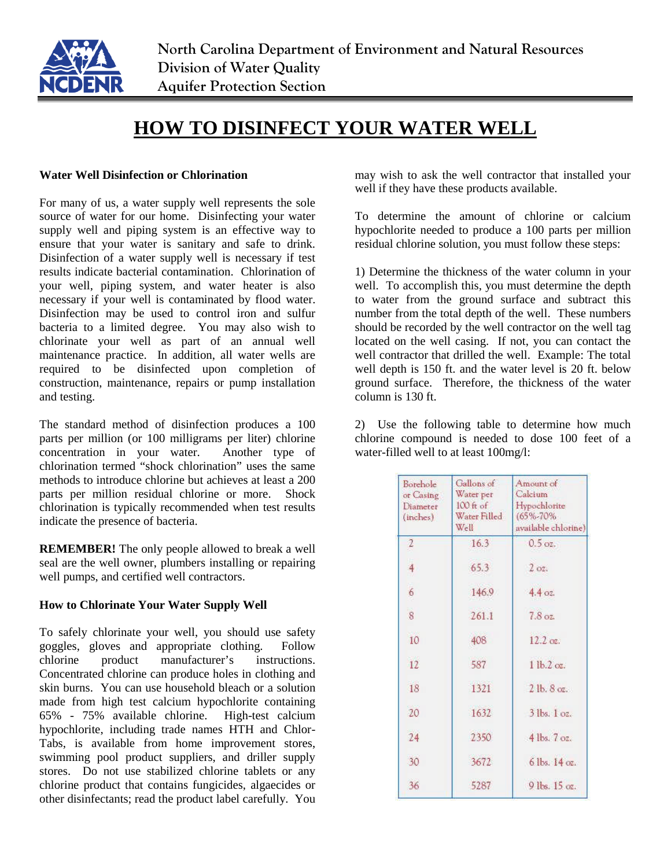

## **HOW TO DISINFECT YOUR WATER WELL**

## **Water Well Disinfection or Chlorination**

For many of us, a water supply well represents the sole source of water for our home. Disinfecting your water supply well and piping system is an effective way to ensure that your water is sanitary and safe to drink. Disinfection of a water supply well is necessary if test results indicate bacterial contamination. Chlorination of your well, piping system, and water heater is also necessary if your well is contaminated by flood water. Disinfection may be used to control iron and sulfur bacteria to a limited degree. You may also wish to chlorinate your well as part of an annual well maintenance practice. In addition, all water wells are required to be disinfected upon completion of construction, maintenance, repairs or pump installation and testing.

The standard method of disinfection produces a 100 parts per million (or 100 milligrams per liter) chlorine concentration in your water. Another type of chlorination termed "shock chlorination" uses the same methods to introduce chlorine but achieves at least a 200 parts per million residual chlorine or more. Shock chlorination is typically recommended when test results indicate the presence of bacteria.

**REMEMBER!** The only people allowed to break a well seal are the well owner, plumbers installing or repairing well pumps, and certified well contractors.

## **How to Chlorinate Your Water Supply Well**

To safely chlorinate your well, you should use safety goggles, gloves and appropriate clothing. Follow chlorine product manufacturer's instructions. Concentrated chlorine can produce holes in clothing and skin burns. You can use household bleach or a solution made from high test calcium hypochlorite containing 65% - 75% available chlorine. High-test calcium hypochlorite, including trade names HTH and Chlor-Tabs, is available from home improvement stores, swimming pool product suppliers, and driller supply stores. Do not use stabilized chlorine tablets or any chlorine product that contains fungicides, algaecides or other disinfectants; read the product label carefully. You

may wish to ask the well contractor that installed your well if they have these products available.

To determine the amount of chlorine or calcium hypochlorite needed to produce a 100 parts per million residual chlorine solution, you must follow these steps:

1) Determine the thickness of the water column in your well. To accomplish this, you must determine the depth to water from the ground surface and subtract this number from the total depth of the well. These numbers should be recorded by the well contractor on the well tag located on the well casing. If not, you can contact the well contractor that drilled the well. Example: The total well depth is 150 ft. and the water level is 20 ft. below ground surface. Therefore, the thickness of the water column is 130 ft.

2) Use the following table to determine how much chlorine compound is needed to dose 100 feet of a water-filled well to at least 100mg/l:

| Borehole<br>or Casing<br>Diameter<br>(inches) | Gallons of<br>Water per<br>$100$ ft of<br>Water Filled<br>Well | Amount of<br>Calcium<br>Hypochlorite<br>(65%-70%)<br>available chlorine) |
|-----------------------------------------------|----------------------------------------------------------------|--------------------------------------------------------------------------|
| $\mathcal{Z}$                                 | 16.3                                                           | $0.5 \text{ oz.}$                                                        |
| 4                                             | 65.3                                                           | 2.02                                                                     |
| 6                                             | 146.9                                                          | 4.4 oz.                                                                  |
| $\overline{\mathbf{8}}$                       | 261.1                                                          | 7.8 <sub>oz</sub>                                                        |
| 10                                            | 408                                                            | $12.2$ oz.                                                               |
| 12                                            | 587                                                            | 1 lb.2 oz.                                                               |
| 18                                            | 1321                                                           | $2$ lb, $8$ oz,                                                          |
| 20                                            | 1632                                                           | $3$ lbs. $1$ oz.                                                         |
| 24                                            | 2350                                                           | 4 lbs. 7 oz.                                                             |
| 30                                            | 3672                                                           | 6 lbs. 14 oz.                                                            |
| 36                                            | 5287                                                           | 9 lbs. 15 oz.                                                            |